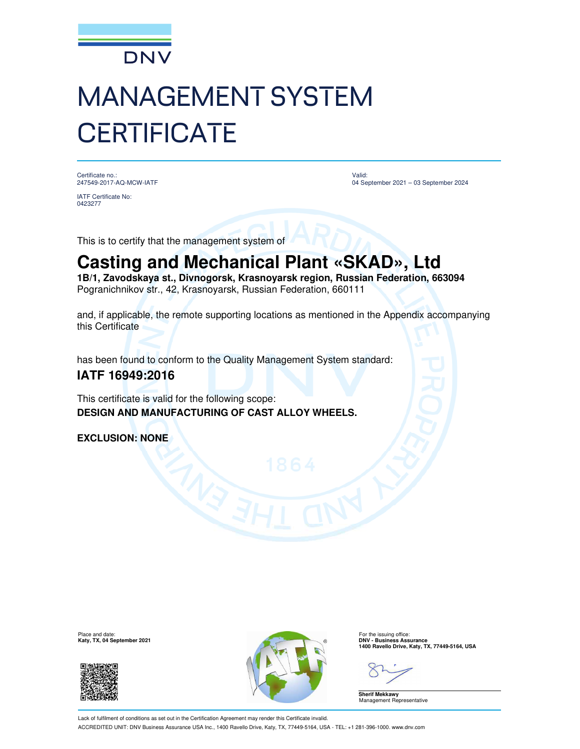

# MANAGEMENT SYSTEM **CERTIFICATE**

Certificate no.: 247549-2017-AQ-MCW-IATF

Valid: 04 September 2021 – 03 September 2024

IATF Certificate No: 0423277

This is to certify that the management system of

## **Casting and Mechanical Plant «SKAD», Ltd**

**1B/1, Zavodskaya st., Divnogorsk, Krasnoyarsk region, Russian Federation, 663094**  Pogranichnikov str., 42, Krasnoyarsk, Russian Federation, 660111

and, if applicable, the remote supporting locations as mentioned in the Appendix accompanying this Certificate

has been found to conform to the Quality Management System standard:

### **IATF 16949:2016**

This certificate is valid for the following scope: **DESIGN AND MANUFACTURING OF CAST ALLOY WHEELS.**

**EXCLUSION: NONE**





**1400 Ravello Drive, Katy, TX, 77449-5164, USA**

**Sherif Mekkawy** Management Representative

Lack of fulfilment of conditions as set out in the Certification Agreement may render this Certificate invalid. ACCREDITED UNIT: DNV Business Assurance USA Inc., 1400 Ravello Drive, Katy, TX, 77449-5164, USA - TEL: +1 281-396-1000. www.dnv.com